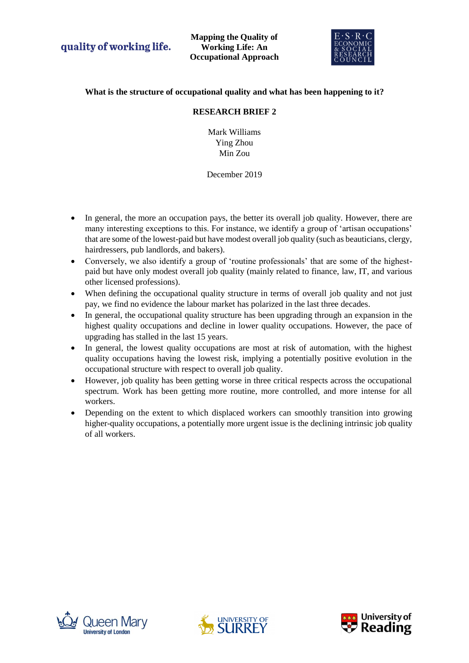

# **What is the structure of occupational quality and what has been happening to it?**

## **RESEARCH BRIEF 2**

Mark Williams Ying Zhou Min Zou

## December 2019

- In general, the more an occupation pays, the better its overall job quality. However, there are many interesting exceptions to this. For instance, we identify a group of 'artisan occupations' that are some of the lowest-paid but have modest overall job quality (such as beauticians, clergy, hairdressers, pub landlords, and bakers).
- Conversely, we also identify a group of 'routine professionals' that are some of the highestpaid but have only modest overall job quality (mainly related to finance, law, IT, and various other licensed professions).
- When defining the occupational quality structure in terms of overall job quality and not just pay, we find no evidence the labour market has polarized in the last three decades.
- In general, the occupational quality structure has been upgrading through an expansion in the highest quality occupations and decline in lower quality occupations. However, the pace of upgrading has stalled in the last 15 years.
- In general, the lowest quality occupations are most at risk of automation, with the highest quality occupations having the lowest risk, implying a potentially positive evolution in the occupational structure with respect to overall job quality.
- However, job quality has been getting worse in three critical respects across the occupational spectrum. Work has been getting more routine, more controlled, and more intense for all workers.
- Depending on the extent to which displaced workers can smoothly transition into growing higher-quality occupations, a potentially more urgent issue is the declining intrinsic job quality of all workers.





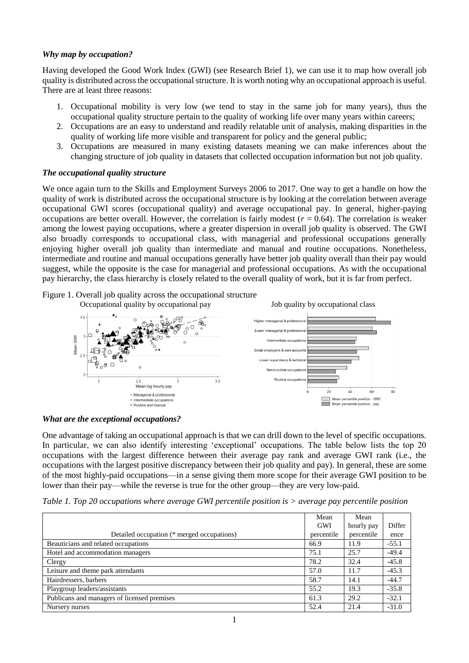### *Why map by occupation?*

Having developed the Good Work Index (GWI) (see Research Brief 1), we can use it to map how overall job quality is distributed across the occupational structure. It is worth noting why an occupational approach is useful. There are at least three reasons:

- 1. Occupational mobility is very low (we tend to stay in the same job for many years), thus the occupational quality structure pertain to the quality of working life over many years within careers;
- 2. Occupations are an easy to understand and readily relatable unit of analysis, making disparities in the quality of working life more visible and transparent for policy and the general public;
- 3. Occupations are measured in many existing datasets meaning we can make inferences about the changing structure of job quality in datasets that collected occupation information but not job quality.

#### *The occupational quality structure*

We once again turn to the Skills and Employment Surveys 2006 to 2017. One way to get a handle on how the quality of work is distributed across the occupational structure is by looking at the correlation between average occupational GWI scores (occupational quality) and average occupational pay. In general, higher-paying occupations are better overall. However, the correlation is fairly modest (*r* = 0.64). The correlation is weaker among the lowest paying occupations, where a greater dispersion in overall job quality is observed. The GWI also broadly corresponds to occupational class, with managerial and professional occupations generally enjoying higher overall job quality than intermediate and manual and routine occupations. Nonetheless, intermediate and routine and manual occupations generally have better job quality overall than their pay would suggest, while the opposite is the case for managerial and professional occupations. As with the occupational pay hierarchy, the class hierarchy is closely related to the overall quality of work, but it is far from perfect.

Figure 1. Overall job quality across the occupational structure





One advantage of taking an occupational approach is that we can drill down to the level of specific occupations. In particular, we can also identify interesting 'exceptional' occupations. The table below lists the top 20 occupations with the largest difference between their average pay rank and average GWI rank (i.e., the occupations with the largest positive discrepancy between their job quality and pay). In general, these are some of the most highly-paid occupations—in a sense giving them more scope for their average GWI position to be lower than their pay—while the reverse is true for the other group—they are very low-paid.

*Table 1. Top 20 occupations where average GWI percentile position is > average pay percentile position*

|                                             | Mean       | Mean       |         |
|---------------------------------------------|------------|------------|---------|
|                                             | <b>GWI</b> | hourly pay | Differ  |
| Detailed occupation (* merged occupations)  | percentile | percentile | ence    |
| Beauticians and related occupations         | 66.9       | 11.9       | $-55.1$ |
| Hotel and accommodation managers            | 75.1       | 25.7       | $-49.4$ |
| Clergy                                      | 78.2       | 32.4       | $-45.8$ |
| Leisure and theme park attendants           | 57.0       | 11.7       | $-45.3$ |
| Hairdressers, barbers                       | 58.7       | 14.1       | $-44.7$ |
| Playgroup leaders/assistants                | 55.2       | 19.3       | $-35.8$ |
| Publicans and managers of licensed premises | 61.3       | 29.2       | $-32.1$ |
| Nursery nurses                              | 52.4       | 21.4       | $-31.0$ |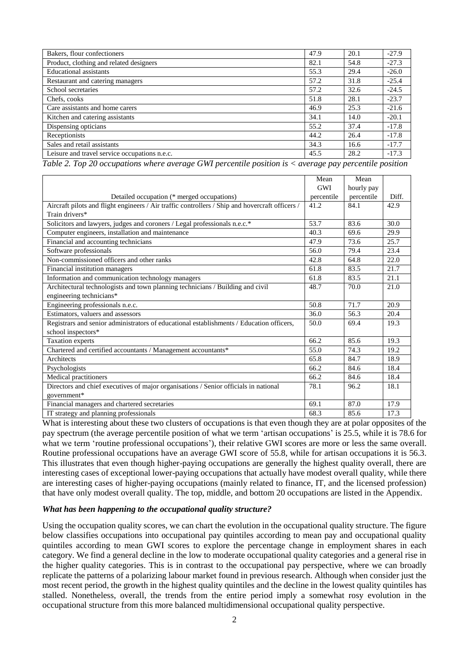| Bakers, flour confectioners                   | 47.9 | 20.1 | $-27.9$ |
|-----------------------------------------------|------|------|---------|
| Product, clothing and related designers       | 82.1 | 54.8 | $-27.3$ |
| <b>Educational assistants</b>                 | 55.3 | 29.4 | $-26.0$ |
| Restaurant and catering managers              | 57.2 | 31.8 | $-25.4$ |
| School secretaries                            | 57.2 | 32.6 | $-24.5$ |
| Chefs, cooks                                  | 51.8 | 28.1 | $-23.7$ |
| Care assistants and home carers               | 46.9 | 25.3 | $-21.6$ |
| Kitchen and catering assistants               | 34.1 | 14.0 | $-20.1$ |
| Dispensing opticians                          | 55.2 | 37.4 | $-17.8$ |
| Receptionists                                 | 44.2 | 26.4 | $-17.8$ |
| Sales and retail assistants                   | 34.3 | 16.6 | $-17.7$ |
| Leisure and travel service occupations n.e.c. | 45.5 | 28.2 | $-17.3$ |

*Table 2. Top 20 occupations where average GWI percentile position is < average pay percentile position*

|                                                                                                 | Mean       | Mean       |       |
|-------------------------------------------------------------------------------------------------|------------|------------|-------|
|                                                                                                 | <b>GWI</b> | hourly pay |       |
| Detailed occupation (* merged occupations)                                                      | percentile | percentile | Diff. |
| Aircraft pilots and flight engineers / Air traffic controllers / Ship and hovercraft officers / | 41.2       | 84.1       | 42.9  |
| Train drivers*                                                                                  |            |            |       |
| Solicitors and lawyers, judges and coroners / Legal professionals n.e.c.*                       | 53.7       | 83.6       | 30.0  |
| Computer engineers, installation and maintenance                                                | 40.3       | 69.6       | 29.9  |
| Financial and accounting technicians                                                            | 47.9       | 73.6       | 25.7  |
| Software professionals                                                                          | 56.0       | 79.4       | 23.4  |
| Non-commissioned officers and other ranks                                                       | 42.8       | 64.8       | 22.0  |
| Financial institution managers                                                                  | 61.8       | 83.5       | 21.7  |
| Information and communication technology managers                                               | 61.8       | 83.5       | 21.1  |
| Architectural technologists and town planning technicians / Building and civil                  | 48.7       | 70.0       | 21.0  |
| engineering technicians*                                                                        |            |            |       |
| Engineering professionals n.e.c.                                                                | 50.8       | 71.7       | 20.9  |
| Estimators, valuers and assessors                                                               | 36.0       | 56.3       | 20.4  |
| Registrars and senior administrators of educational establishments / Education officers,        | 50.0       | 69.4       | 19.3  |
| school inspectors*                                                                              |            |            |       |
| Taxation experts                                                                                | 66.2       | 85.6       | 19.3  |
| Chartered and certified accountants / Management accountants*                                   | 55.0       | 74.3       | 19.2  |
| Architects                                                                                      | 65.8       | 84.7       | 18.9  |
| Psychologists                                                                                   | 66.2       | 84.6       | 18.4  |
| Medical practitioners                                                                           | 66.2       | 84.6       | 18.4  |
| Directors and chief executives of major organisations / Senior officials in national            | 78.1       | 96.2       | 18.1  |
| government*                                                                                     |            |            |       |
| Financial managers and chartered secretaries                                                    | 69.1       | 87.0       | 17.9  |
| IT strategy and planning professionals                                                          | 68.3       | 85.6       | 17.3  |

What is interesting about these two clusters of occupations is that even though they are at polar opposites of the pay spectrum (the average percentile position of what we term 'artisan occupations' is 25.5, while it is 78.6 for what we term 'routine professional occupations'), their relative GWI scores are more or less the same overall. Routine professional occupations have an average GWI score of 55.8, while for artisan occupations it is 56.3. This illustrates that even though higher-paying occupations are generally the highest quality overall, there are interesting cases of exceptional lower-paying occupations that actually have modest overall quality, while there are interesting cases of higher-paying occupations (mainly related to finance, IT, and the licensed profession) that have only modest overall quality. The top, middle, and bottom 20 occupations are listed in the Appendix.

#### *What has been happening to the occupational quality structure?*

Using the occupation quality scores, we can chart the evolution in the occupational quality structure. The figure below classifies occupations into occupational pay quintiles according to mean pay and occupational quality quintiles according to mean GWI scores to explore the percentage change in employment shares in each category. We find a general decline in the low to moderate occupational quality categories and a general rise in the higher quality categories. This is in contrast to the occupational pay perspective, where we can broadly replicate the patterns of a polarizing labour market found in previous research. Although when consider just the most recent period, the growth in the highest quality quintiles and the decline in the lowest quality quintiles has stalled. Nonetheless, overall, the trends from the entire period imply a somewhat rosy evolution in the occupational structure from this more balanced multidimensional occupational quality perspective.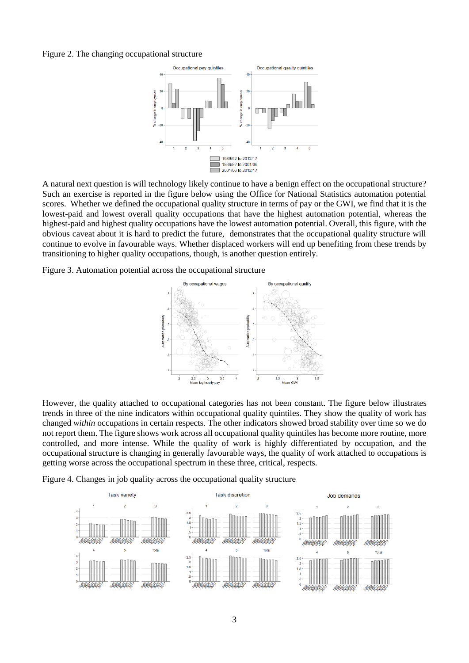#### Figure 2. The changing occupational structure



A natural next question is will technology likely continue to have a benign effect on the occupational structure? Such an exercise is reported in the figure below using the Office for National Statistics automation potential scores. Whether we defined the occupational quality structure in terms of pay or the GWI, we find that it is the lowest-paid and lowest overall quality occupations that have the highest automation potential, whereas the highest-paid and highest quality occupations have the lowest automation potential. Overall, this figure, with the obvious caveat about it is hard to predict the future, demonstrates that the occupational quality structure will continue to evolve in favourable ways. Whether displaced workers will end up benefiting from these trends by transitioning to higher quality occupations, though, is another question entirely.

Figure 3. Automation potential across the occupational structure



However, the quality attached to occupational categories has not been constant. The figure below illustrates trends in three of the nine indicators within occupational quality quintiles. They show the quality of work has changed *within* occupations in certain respects. The other indicators showed broad stability over time so we do not report them. The figure shows work across all occupational quality quintiles has become more routine, more controlled, and more intense. While the quality of work is highly differentiated by occupation, and the occupational structure is changing in generally favourable ways, the quality of work attached to occupations is getting worse across the occupational spectrum in these three, critical, respects.

Figure 4. Changes in job quality across the occupational quality structure

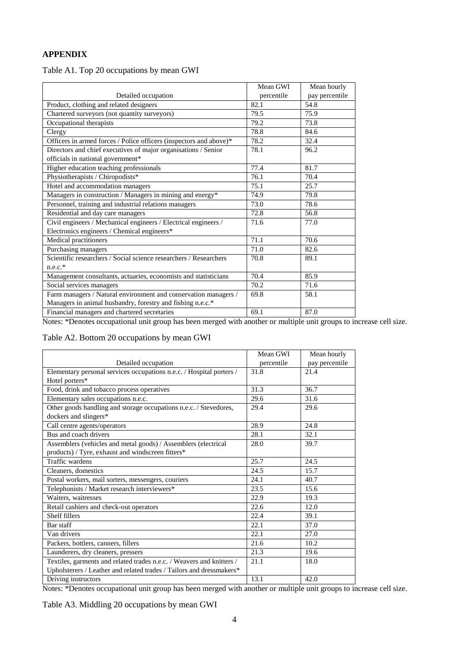## **APPENDIX**

| Table A1. Top 20 occupations by mean GWI |  |
|------------------------------------------|--|
|------------------------------------------|--|

|                                                                    | Mean GWI   | Mean hourly    |
|--------------------------------------------------------------------|------------|----------------|
| Detailed occupation                                                | percentile | pay percentile |
| Product, clothing and related designers                            | 82.1       | 54.8           |
| Chartered surveyors (not quantity surveyors)                       | 79.5       | 75.9           |
| Occupational therapists                                            | 79.2       | 73.8           |
| Clergy                                                             | 78.8       | 84.6           |
| Officers in armed forces / Police officers (inspectors and above)* | 78.2       | 32.4           |
| Directors and chief executives of major organisations / Senior     | 78.1       | 96.2           |
| officials in national government*                                  |            |                |
| Higher education teaching professionals                            | 77.4       | 81.7           |
| Physiotherapists / Chiropodists*                                   | 76.1       | 70.4           |
| Hotel and accommodation managers                                   | 75.1       | 25.7           |
| Managers in construction / Managers in mining and energy*          | 74.9       | 79.8           |
| Personnel, training and industrial relations managers              | 73.0       | 78.6           |
| Residential and day care managers                                  | 72.8       | 56.8           |
| Civil engineers / Mechanical engineers / Electrical engineers /    | 71.6       | 77.0           |
| Electronics engineers / Chemical engineers*                        |            |                |
| Medical practitioners                                              | 71.1       | 70.6           |
| Purchasing managers                                                | 71.0       | 82.6           |
| Scientific researchers / Social science researchers / Researchers  | 70.8       | 89.1           |
| $n.e.c.*$                                                          |            |                |
| Management consultants, actuaries, economists and statisticians    | 70.4       | 85.9           |
| Social services managers                                           | 70.2       | 71.6           |
| Farm managers / Natural environment and conservation managers /    | 69.8       | 58.1           |
| Managers in animal husbandry, forestry and fishing n.e.c.*         |            |                |
| Financial managers and chartered secretaries                       | 69.1       | 87.0           |

Notes: \*Denotes occupational unit group has been merged with another or multiple unit groups to increase cell size.

## Table A2. Bottom 20 occupations by mean GWI

|                                                                       | Mean GWI   | Mean hourly    |
|-----------------------------------------------------------------------|------------|----------------|
| Detailed occupation                                                   | percentile | pay percentile |
| Elementary personal services occupations n.e.c. / Hospital porters /  | 31.8       | 21.4           |
| Hotel porters*                                                        |            |                |
| Food, drink and tobacco process operatives                            | 31.3       | 36.7           |
| Elementary sales occupations n.e.c.                                   | 29.6       | 31.6           |
| Other goods handling and storage occupations n.e.c. / Stevedores,     | 29.4       | 29.6           |
| dockers and slingers*                                                 |            |                |
| Call centre agents/operators                                          | 28.9       | 24.8           |
| Bus and coach drivers                                                 | 28.1       | 32.1           |
| Assemblers (vehicles and metal goods) / Assemblers (electrical        | 28.0       | 39.7           |
| products) / Tyre, exhaust and windscreen fitters*                     |            |                |
| Traffic wardens                                                       | 25.7       | 24.5           |
| Cleaners, domestics                                                   | 24.5       | 15.7           |
| Postal workers, mail sorters, messengers, couriers                    | 24.1       | 40.7           |
| Telephonists / Market research interviewers*                          | 23.5       | 15.6           |
| Waiters, waitresses                                                   | 22.9       | 19.3           |
| Retail cashiers and check-out operators                               | 22.6       | 12.0           |
| Shelf fillers                                                         | 22.4       | 39.1           |
| Bar staff                                                             | 22.1       | 37.0           |
| Van drivers                                                           | 22.1       | 27.0           |
| Packers, bottlers, canners, fillers                                   | 21.6       | 10.2           |
| Launderers, dry cleaners, pressers                                    | 21.3       | 19.6           |
| Textiles, garments and related trades n.e.c. / Weavers and knitters / | 21.1       | 18.0           |
| Upholsterers / Leather and related trades / Tailors and dressmakers*  |            |                |
| Driving instructors                                                   | 13.1       | 42.0           |

Notes: \*Denotes occupational unit group has been merged with another or multiple unit groups to increase cell size.

Table A3. Middling 20 occupations by mean GWI